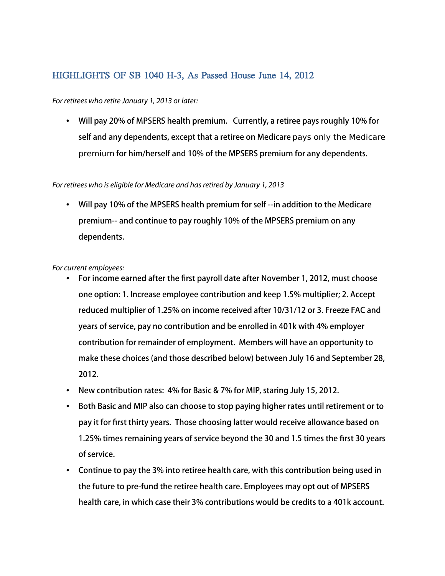# HIGHLIGHTS OF SB 1040 H-3, As Passed House June 14, 2012

### *For retirees who retire January 1, 2013 or later:*

• Will pay 20% of MPSERS health premium. Currently, a retiree pays roughly 10% for self and any dependents, except that a retiree on Medicare pays only the Medicare premium for him/herself and 10% of the MPSERS premium for any dependents.

#### *For retirees who is eligible for Medicare and has retired by January 1, 2013*

• Will pay 10% of the MPSERS health premium for self --in addition to the Medicare premium-- and continue to pay roughly 10% of the MPSERS premium on any dependents.

## *For current employees:*

- For income earned after the frst payroll date after November 1, 2012, must choose one option: 1. Increase employee contribution and keep 1.5% multiplier; 2. Accept reduced multiplier of 1.25% on income received after 10/31/12 or 3. Freeze FAC and years of service, pay no contribution and be enrolled in 401k with 4% employer contribution for remainder of employment. Members will have an opportunity to make these choices (and those described below) between July 16 and September 28, 2012.
- New contribution rates: 4% for Basic & 7% for MIP, staring July 15, 2012.
- Both Basic and MIP also can choose to stop paying higher rates until retirement or to pay it for frst thirty years. Those choosing latter would receive allowance based on 1.25% times remaining years of service beyond the 30 and 1.5 times the frst 30 years of service.
- Continue to pay the 3% into retiree health care, with this contribution being used in the future to pre-fund the retiree health care. Employees may opt out of MPSERS health care, in which case their 3% contributions would be credits to a 401k account.